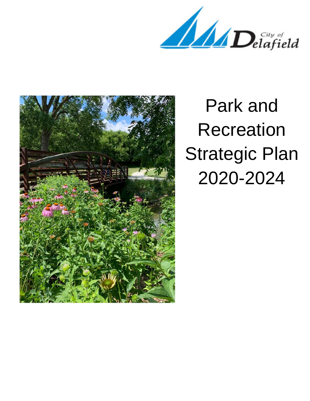Delafield



Park and Recreation Strategic Plan 2020-2024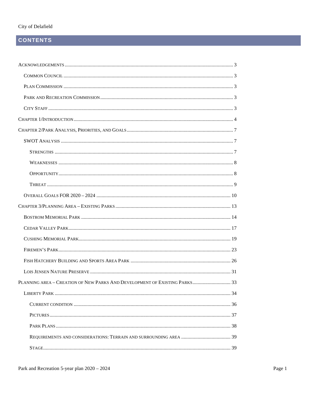### City of Delafield

## **CONTENTS**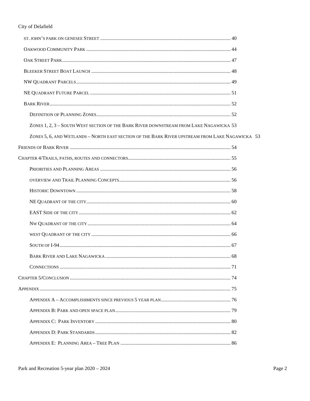| ZONES 1, 2, 3 - SOUTH WEST SECTION OF THE BARK RIVER DOWNSTREAM FROM LAKE NAGAWICKA 53          |  |
|-------------------------------------------------------------------------------------------------|--|
| ZONES 5, 6, AND WETLANDS - NORTH EAST SECTION OF THE BARK RIVER UPSTREAM FROM LAKE NAGAWICKA 53 |  |
|                                                                                                 |  |
|                                                                                                 |  |
|                                                                                                 |  |
|                                                                                                 |  |
|                                                                                                 |  |
|                                                                                                 |  |
|                                                                                                 |  |
|                                                                                                 |  |
|                                                                                                 |  |
|                                                                                                 |  |
|                                                                                                 |  |
|                                                                                                 |  |
|                                                                                                 |  |
|                                                                                                 |  |
|                                                                                                 |  |
|                                                                                                 |  |
|                                                                                                 |  |
|                                                                                                 |  |
|                                                                                                 |  |